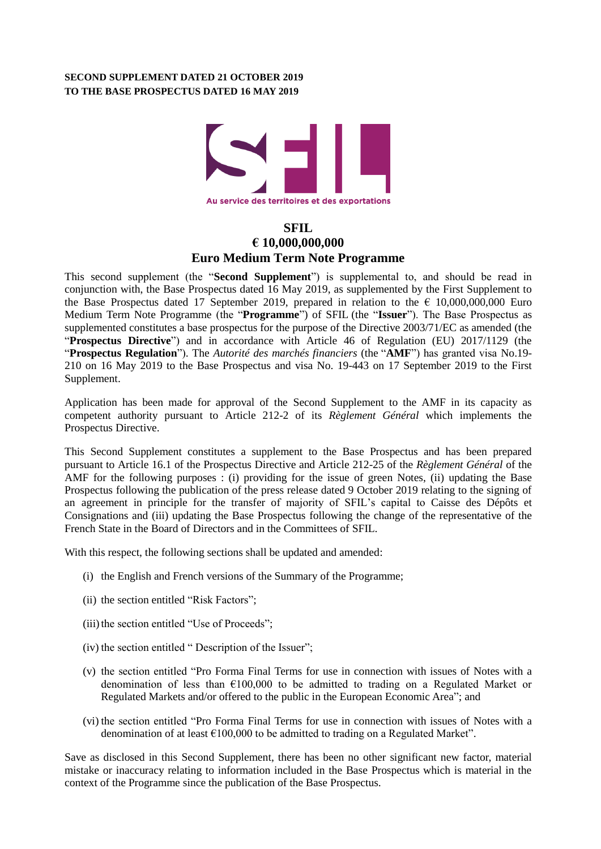## **SECOND SUPPLEMENT DATED 21 OCTOBER 2019 TO THE BASE PROSPECTUS DATED 16 MAY 2019**



# **SFIL € 10,000,000,000 Euro Medium Term Note Programme**

This second supplement (the "**Second Supplement**") is supplemental to, and should be read in conjunction with, the Base Prospectus dated 16 May 2019, as supplemented by the First Supplement to the Base Prospectus dated 17 September 2019, prepared in relation to the  $\epsilon$  10,000,000,000 Euro Medium Term Note Programme (the "**Programme**") of SFIL (the "**Issuer**"). The Base Prospectus as supplemented constitutes a base prospectus for the purpose of the Directive 2003/71/EC as amended (the "**Prospectus Directive**") and in accordance with Article 46 of Regulation (EU) 2017/1129 (the "**Prospectus Regulation**"). The *Autorité des marchés financiers* (the "**AMF**") has granted visa No.19- 210 on 16 May 2019 to the Base Prospectus and visa No. 19-443 on 17 September 2019 to the First Supplement.

Application has been made for approval of the Second Supplement to the AMF in its capacity as competent authority pursuant to Article 212-2 of its *Règlement Général* which implements the Prospectus Directive.

This Second Supplement constitutes a supplement to the Base Prospectus and has been prepared pursuant to Article 16.1 of the Prospectus Directive and Article 212-25 of the *Règlement Général* of the AMF for the following purposes : (i) providing for the issue of green Notes, (ii) updating the Base Prospectus following the publication of the press release dated 9 October 2019 relating to the signing of an agreement in principle for the transfer of majority of SFIL's capital to Caisse des Dépôts et Consignations and (iii) updating the Base Prospectus following the change of the representative of the French State in the Board of Directors and in the Committees of SFIL.

With this respect, the following sections shall be updated and amended:

- (i) the English and French versions of the Summary of the Programme;
- (ii) the section entitled "Risk Factors";
- (iii) the section entitled "Use of Proceeds";
- (iv) the section entitled " Description of the Issuer";
- (v) the section entitled "Pro Forma Final Terms for use in connection with issues of Notes with a denomination of less than  $\epsilon$ 100,000 to be admitted to trading on a Regulated Market or Regulated Markets and/or offered to the public in the European Economic Area"; and
- (vi) the section entitled "Pro Forma Final Terms for use in connection with issues of Notes with a denomination of at least  $\text{\textsterling}100,000$  to be admitted to trading on a Regulated Market".

Save as disclosed in this Second Supplement, there has been no other significant new factor, material mistake or inaccuracy relating to information included in the Base Prospectus which is material in the context of the Programme since the publication of the Base Prospectus.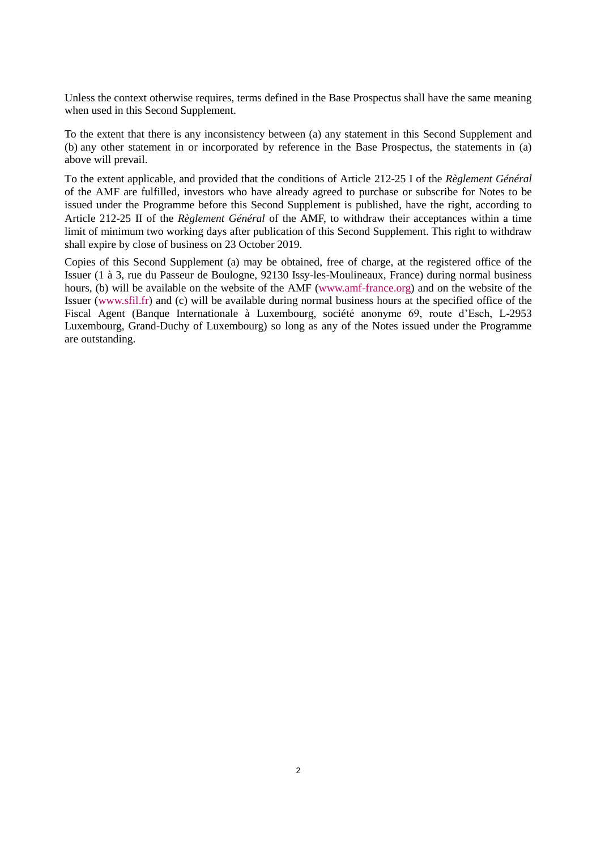Unless the context otherwise requires, terms defined in the Base Prospectus shall have the same meaning when used in this Second Supplement.

To the extent that there is any inconsistency between (a) any statement in this Second Supplement and (b) any other statement in or incorporated by reference in the Base Prospectus, the statements in (a) above will prevail.

To the extent applicable, and provided that the conditions of Article 212-25 I of the *Règlement Général* of the AMF are fulfilled, investors who have already agreed to purchase or subscribe for Notes to be issued under the Programme before this Second Supplement is published, have the right, according to Article 212-25 II of the *Règlement Général* of the AMF, to withdraw their acceptances within a time limit of minimum two working days after publication of this Second Supplement. This right to withdraw shall expire by close of business on 23 October 2019.

Copies of this Second Supplement (a) may be obtained, free of charge, at the registered office of the Issuer (1 à 3, rue du Passeur de Boulogne, 92130 Issy-les-Moulineaux, France) during normal business hours, (b) will be available on the website of the AMF [\(www.amf-france.org\)](http://www.amf-france.org/) and on the website of the Issuer (www.sfil.fr) and (c) will be available during normal business hours at the specified office of the Fiscal Agent (Banque Internationale à Luxembourg, société anonyme 69, route d'Esch, L-2953 Luxembourg, Grand-Duchy of Luxembourg) so long as any of the Notes issued under the Programme are outstanding.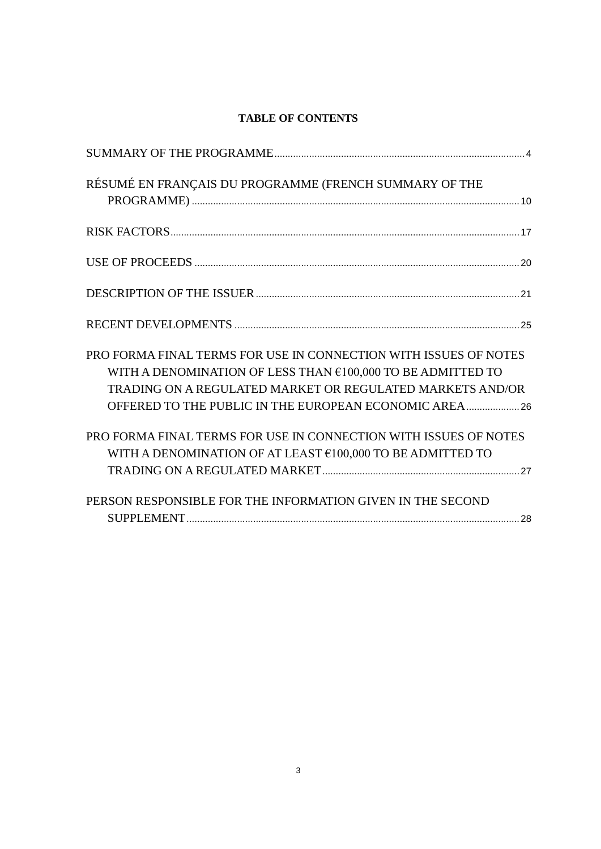## **TABLE OF CONTENTS**

| RÉSUMÉ EN FRANÇAIS DU PROGRAMME (FRENCH SUMMARY OF THE                                                                                                                                                                                                  |
|---------------------------------------------------------------------------------------------------------------------------------------------------------------------------------------------------------------------------------------------------------|
|                                                                                                                                                                                                                                                         |
|                                                                                                                                                                                                                                                         |
|                                                                                                                                                                                                                                                         |
|                                                                                                                                                                                                                                                         |
| PRO FORMA FINAL TERMS FOR USE IN CONNECTION WITH ISSUES OF NOTES<br>WITH A DENOMINATION OF LESS THAN €100,000 TO BE ADMITTED TO<br>TRADING ON A REGULATED MARKET OR REGULATED MARKETS AND/OR<br>OFFERED TO THE PUBLIC IN THE EUROPEAN ECONOMIC AREA  26 |
| PRO FORMA FINAL TERMS FOR USE IN CONNECTION WITH ISSUES OF NOTES<br>WITH A DENOMINATION OF AT LEAST €100,000 TO BE ADMITTED TO                                                                                                                          |
| PERSON RESPONSIBLE FOR THE INFORMATION GIVEN IN THE SECOND                                                                                                                                                                                              |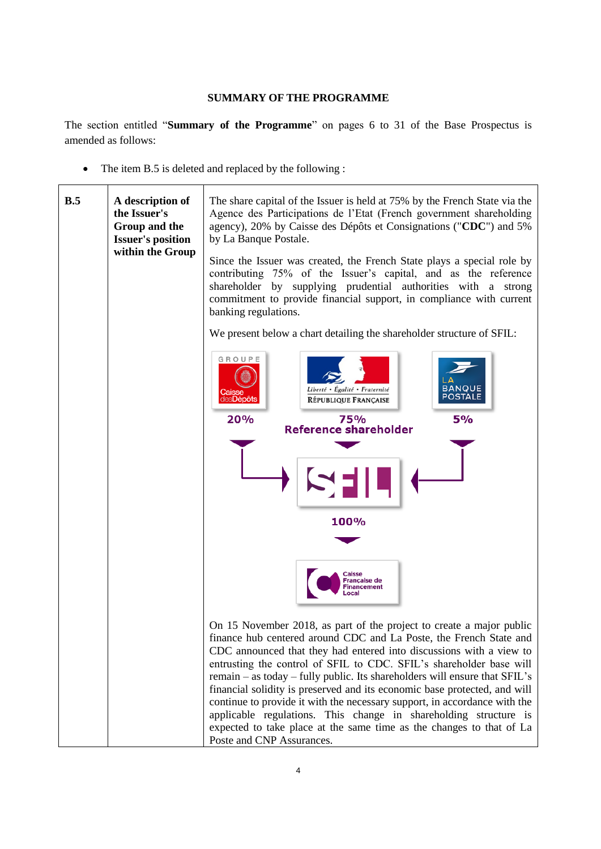#### **SUMMARY OF THE PROGRAMME**

<span id="page-3-0"></span>The section entitled "**Summary of the Programme**" on pages 6 to 31 of the Base Prospectus is amended as follows:

• The item B.5 is deleted and replaced by the following :

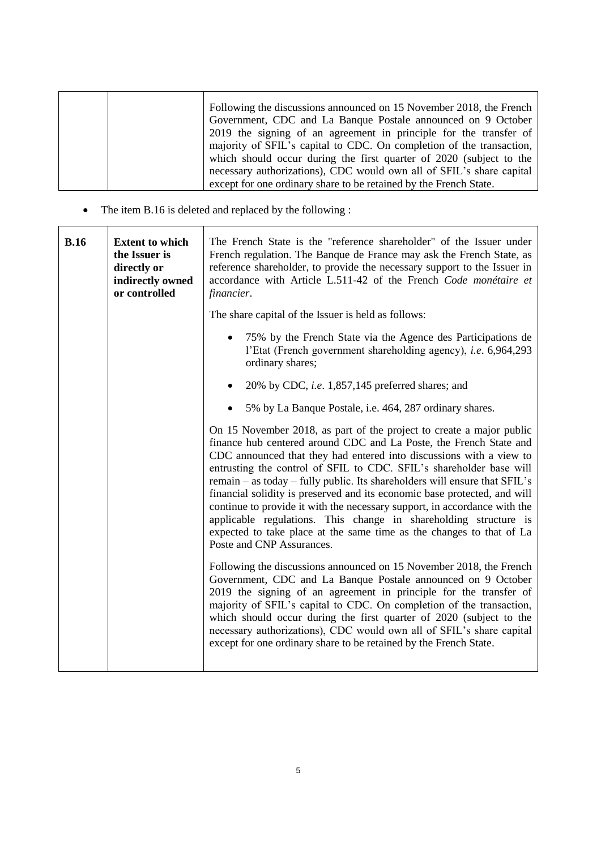|  | Following the discussions announced on 15 November 2018, the French  |
|--|----------------------------------------------------------------------|
|  | Government, CDC and La Banque Postale announced on 9 October         |
|  | 2019 the signing of an agreement in principle for the transfer of    |
|  | majority of SFIL's capital to CDC. On completion of the transaction, |
|  | which should occur during the first quarter of 2020 (subject to the  |
|  | necessary authorizations), CDC would own all of SFIL's share capital |
|  | except for one ordinary share to be retained by the French State.    |

The item B.16 is deleted and replaced by the following :

| B.16 | <b>Extent to which</b><br>the Issuer is<br>directly or<br>indirectly owned<br>or controlled | The French State is the "reference shareholder" of the Issuer under<br>French regulation. The Banque de France may ask the French State, as<br>reference shareholder, to provide the necessary support to the Issuer in<br>accordance with Article L.511-42 of the French Code monétaire et<br>financier.                                                                                                                                                                                                                                                                                                                                                                                                 |
|------|---------------------------------------------------------------------------------------------|-----------------------------------------------------------------------------------------------------------------------------------------------------------------------------------------------------------------------------------------------------------------------------------------------------------------------------------------------------------------------------------------------------------------------------------------------------------------------------------------------------------------------------------------------------------------------------------------------------------------------------------------------------------------------------------------------------------|
|      |                                                                                             | The share capital of the Issuer is held as follows:                                                                                                                                                                                                                                                                                                                                                                                                                                                                                                                                                                                                                                                       |
|      |                                                                                             | 75% by the French State via the Agence des Participations de<br>l'Etat (French government shareholding agency), i.e. 6,964,293<br>ordinary shares;                                                                                                                                                                                                                                                                                                                                                                                                                                                                                                                                                        |
|      |                                                                                             | 20% by CDC, <i>i.e.</i> 1,857,145 preferred shares; and                                                                                                                                                                                                                                                                                                                                                                                                                                                                                                                                                                                                                                                   |
|      |                                                                                             | 5% by La Banque Postale, i.e. 464, 287 ordinary shares.                                                                                                                                                                                                                                                                                                                                                                                                                                                                                                                                                                                                                                                   |
|      |                                                                                             | On 15 November 2018, as part of the project to create a major public<br>finance hub centered around CDC and La Poste, the French State and<br>CDC announced that they had entered into discussions with a view to<br>entrusting the control of SFIL to CDC. SFIL's shareholder base will<br>remain – as today – fully public. Its shareholders will ensure that SFIL's<br>financial solidity is preserved and its economic base protected, and will<br>continue to provide it with the necessary support, in accordance with the<br>applicable regulations. This change in shareholding structure is<br>expected to take place at the same time as the changes to that of La<br>Poste and CNP Assurances. |
|      |                                                                                             | Following the discussions announced on 15 November 2018, the French<br>Government, CDC and La Banque Postale announced on 9 October<br>2019 the signing of an agreement in principle for the transfer of<br>majority of SFIL's capital to CDC. On completion of the transaction,<br>which should occur during the first quarter of 2020 (subject to the<br>necessary authorizations), CDC would own all of SFIL's share capital<br>except for one ordinary share to be retained by the French State.                                                                                                                                                                                                      |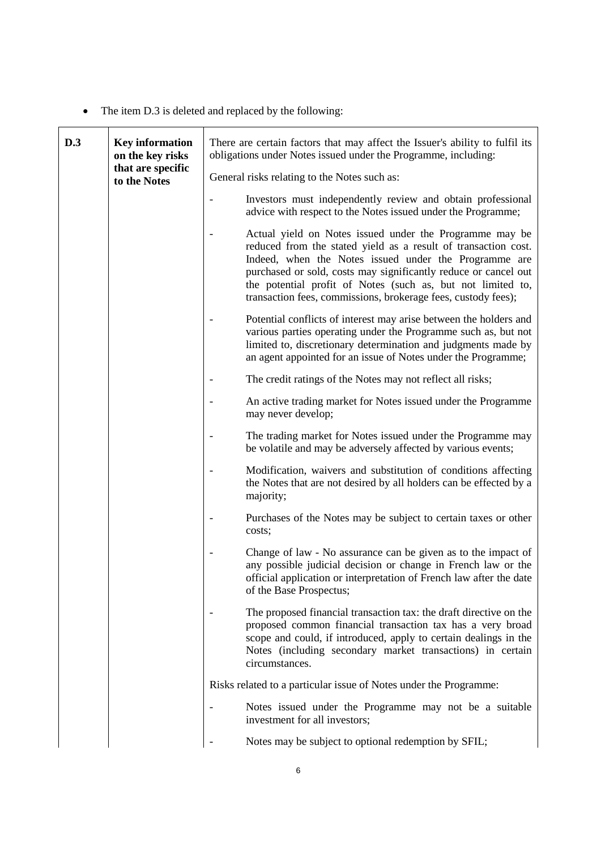• The item D.3 is deleted and replaced by the following:

| D.3 | <b>Key information</b><br>on the key risks | There are certain factors that may affect the Issuer's ability to fulfil its<br>obligations under Notes issued under the Programme, including: |                                                                                                                                                                                                                                                                                                                                                                                       |
|-----|--------------------------------------------|------------------------------------------------------------------------------------------------------------------------------------------------|---------------------------------------------------------------------------------------------------------------------------------------------------------------------------------------------------------------------------------------------------------------------------------------------------------------------------------------------------------------------------------------|
|     |                                            | that are specific<br>to the Notes                                                                                                              | General risks relating to the Notes such as:                                                                                                                                                                                                                                                                                                                                          |
|     |                                            |                                                                                                                                                | Investors must independently review and obtain professional<br>advice with respect to the Notes issued under the Programme;                                                                                                                                                                                                                                                           |
|     |                                            |                                                                                                                                                | Actual yield on Notes issued under the Programme may be<br>reduced from the stated yield as a result of transaction cost.<br>Indeed, when the Notes issued under the Programme are<br>purchased or sold, costs may significantly reduce or cancel out<br>the potential profit of Notes (such as, but not limited to,<br>transaction fees, commissions, brokerage fees, custody fees); |
|     |                                            |                                                                                                                                                | Potential conflicts of interest may arise between the holders and<br>various parties operating under the Programme such as, but not<br>limited to, discretionary determination and judgments made by<br>an agent appointed for an issue of Notes under the Programme;                                                                                                                 |
|     |                                            |                                                                                                                                                | The credit ratings of the Notes may not reflect all risks;                                                                                                                                                                                                                                                                                                                            |
|     |                                            |                                                                                                                                                | An active trading market for Notes issued under the Programme<br>may never develop;                                                                                                                                                                                                                                                                                                   |
|     |                                            |                                                                                                                                                | The trading market for Notes issued under the Programme may<br>be volatile and may be adversely affected by various events;                                                                                                                                                                                                                                                           |
|     |                                            |                                                                                                                                                | Modification, waivers and substitution of conditions affecting<br>the Notes that are not desired by all holders can be effected by a<br>majority;                                                                                                                                                                                                                                     |
|     |                                            |                                                                                                                                                | Purchases of the Notes may be subject to certain taxes or other<br>costs;                                                                                                                                                                                                                                                                                                             |
|     |                                            |                                                                                                                                                | Change of law - No assurance can be given as to the impact of<br>any possible judicial decision or change in French law or the<br>official application or interpretation of French law after the date<br>of the Base Prospectus;                                                                                                                                                      |
|     |                                            |                                                                                                                                                | The proposed financial transaction tax: the draft directive on the<br>proposed common financial transaction tax has a very broad<br>scope and could, if introduced, apply to certain dealings in the<br>Notes (including secondary market transactions) in certain<br>circumstances.                                                                                                  |
|     |                                            |                                                                                                                                                | Risks related to a particular issue of Notes under the Programme:                                                                                                                                                                                                                                                                                                                     |
|     |                                            |                                                                                                                                                | Notes issued under the Programme may not be a suitable<br>investment for all investors;                                                                                                                                                                                                                                                                                               |
|     |                                            |                                                                                                                                                | Notes may be subject to optional redemption by SFIL;                                                                                                                                                                                                                                                                                                                                  |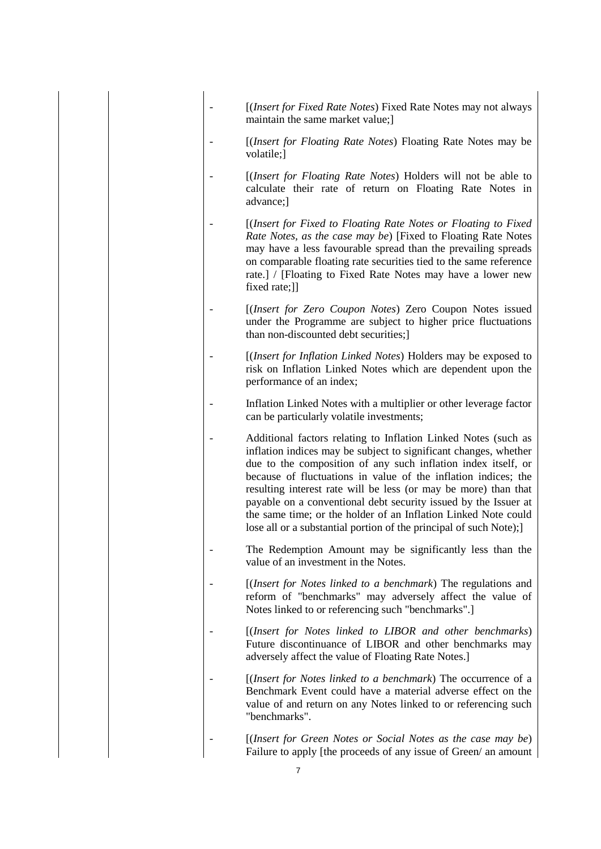|  |  | [(Insert for Fixed Rate Notes) Fixed Rate Notes may not always<br>maintain the same market value;                                                                                                                                                                                                                                                                                                                                                                                                                                                  |
|--|--|----------------------------------------------------------------------------------------------------------------------------------------------------------------------------------------------------------------------------------------------------------------------------------------------------------------------------------------------------------------------------------------------------------------------------------------------------------------------------------------------------------------------------------------------------|
|  |  | [ <i>(Insert for Floating Rate Notes</i> ) Floating Rate Notes may be<br>volatile;]                                                                                                                                                                                                                                                                                                                                                                                                                                                                |
|  |  | [ <i>(Insert for Floating Rate Notes</i> ) Holders will not be able to<br>calculate their rate of return on Floating Rate Notes in<br>advance;]                                                                                                                                                                                                                                                                                                                                                                                                    |
|  |  | [(Insert for Fixed to Floating Rate Notes or Floating to Fixed<br>Rate Notes, as the case may be) [Fixed to Floating Rate Notes<br>may have a less favourable spread than the prevailing spreads<br>on comparable floating rate securities tied to the same reference<br>rate.] / [Floating to Fixed Rate Notes may have a lower new<br>fixed rate;]]                                                                                                                                                                                              |
|  |  | [(Insert for Zero Coupon Notes) Zero Coupon Notes issued<br>under the Programme are subject to higher price fluctuations<br>than non-discounted debt securities;                                                                                                                                                                                                                                                                                                                                                                                   |
|  |  | [(Insert for Inflation Linked Notes) Holders may be exposed to<br>risk on Inflation Linked Notes which are dependent upon the<br>performance of an index;                                                                                                                                                                                                                                                                                                                                                                                          |
|  |  | Inflation Linked Notes with a multiplier or other leverage factor<br>can be particularly volatile investments;                                                                                                                                                                                                                                                                                                                                                                                                                                     |
|  |  | Additional factors relating to Inflation Linked Notes (such as<br>inflation indices may be subject to significant changes, whether<br>due to the composition of any such inflation index itself, or<br>because of fluctuations in value of the inflation indices; the<br>resulting interest rate will be less (or may be more) than that<br>payable on a conventional debt security issued by the Issuer at<br>the same time; or the holder of an Inflation Linked Note could<br>lose all or a substantial portion of the principal of such Note); |
|  |  | The Redemption Amount may be significantly less than the<br>value of an investment in the Notes.                                                                                                                                                                                                                                                                                                                                                                                                                                                   |
|  |  | [(Insert for Notes linked to a benchmark) The regulations and<br>reform of "benchmarks" may adversely affect the value of<br>Notes linked to or referencing such "benchmarks".]                                                                                                                                                                                                                                                                                                                                                                    |
|  |  | [(Insert for Notes linked to LIBOR and other benchmarks)<br>Future discontinuance of LIBOR and other benchmarks may<br>adversely affect the value of Floating Rate Notes.]                                                                                                                                                                                                                                                                                                                                                                         |
|  |  | [(Insert for Notes linked to a benchmark) The occurrence of a<br>Benchmark Event could have a material adverse effect on the<br>value of and return on any Notes linked to or referencing such<br>"benchmarks".                                                                                                                                                                                                                                                                                                                                    |
|  |  | [(Insert for Green Notes or Social Notes as the case may be)<br>Failure to apply [the proceeds of any issue of Green/ an amount                                                                                                                                                                                                                                                                                                                                                                                                                    |

7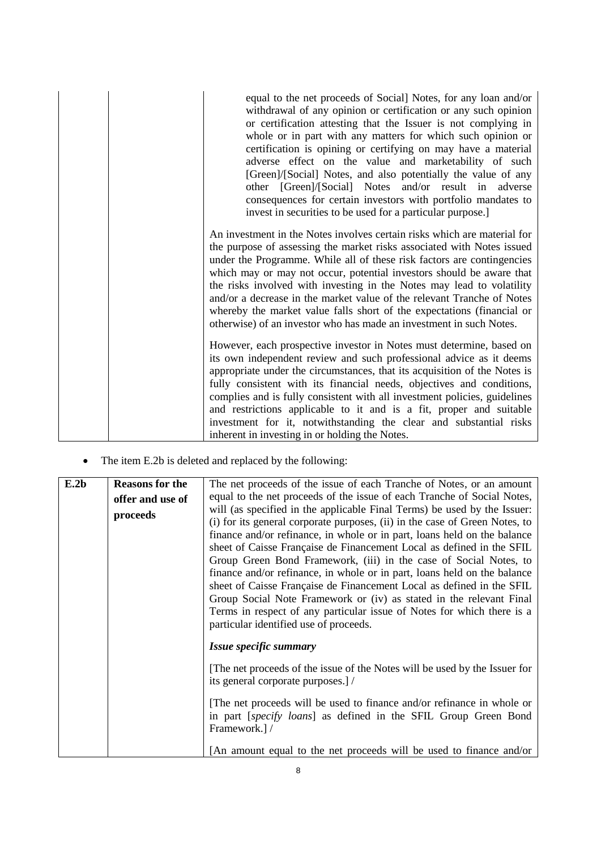|  | equal to the net proceeds of Social] Notes, for any loan and/or<br>withdrawal of any opinion or certification or any such opinion<br>or certification attesting that the Issuer is not complying in<br>whole or in part with any matters for which such opinion or<br>certification is opining or certifying on may have a material<br>adverse effect on the value and marketability of such<br>[Green]/[Social] Notes, and also potentially the value of any<br>other [Green]/[Social] Notes and/or result in adverse<br>consequences for certain investors with portfolio mandates to<br>invest in securities to be used for a particular purpose.] |
|--|-------------------------------------------------------------------------------------------------------------------------------------------------------------------------------------------------------------------------------------------------------------------------------------------------------------------------------------------------------------------------------------------------------------------------------------------------------------------------------------------------------------------------------------------------------------------------------------------------------------------------------------------------------|
|  | An investment in the Notes involves certain risks which are material for<br>the purpose of assessing the market risks associated with Notes issued<br>under the Programme. While all of these risk factors are contingencies<br>which may or may not occur, potential investors should be aware that<br>the risks involved with investing in the Notes may lead to volatility<br>and/or a decrease in the market value of the relevant Tranche of Notes<br>whereby the market value falls short of the expectations (financial or<br>otherwise) of an investor who has made an investment in such Notes.                                              |
|  | However, each prospective investor in Notes must determine, based on<br>its own independent review and such professional advice as it deems<br>appropriate under the circumstances, that its acquisition of the Notes is<br>fully consistent with its financial needs, objectives and conditions,<br>complies and is fully consistent with all investment policies, guidelines<br>and restrictions applicable to it and is a fit, proper and suitable<br>investment for it, notwithstanding the clear and substantial risks<br>inherent in investing in or holding the Notes.                                                                         |

The item E.2b is deleted and replaced by the following:

| E.2b | <b>Reasons for the</b> | The net proceeds of the issue of each Tranche of Notes, or an amount        |
|------|------------------------|-----------------------------------------------------------------------------|
|      | offer and use of       | equal to the net proceeds of the issue of each Tranche of Social Notes,     |
|      | proceeds               | will (as specified in the applicable Final Terms) be used by the Issuer:    |
|      |                        | (i) for its general corporate purposes, (ii) in the case of Green Notes, to |
|      |                        | finance and/or refinance, in whole or in part, loans held on the balance    |
|      |                        | sheet of Caisse Française de Financement Local as defined in the SFIL       |
|      |                        | Group Green Bond Framework, (iii) in the case of Social Notes, to           |
|      |                        | finance and/or refinance, in whole or in part, loans held on the balance    |
|      |                        | sheet of Caisse Française de Financement Local as defined in the SFIL       |
|      |                        | Group Social Note Framework or (iv) as stated in the relevant Final         |
|      |                        | Terms in respect of any particular issue of Notes for which there is a      |
|      |                        | particular identified use of proceeds.                                      |
|      |                        | Issue specific summary                                                      |
|      |                        | [The net proceeds of the issue of the Notes will be used by the Issuer for  |
|      |                        | its general corporate purposes.]/                                           |
|      |                        | [The net proceeds will be used to finance and/or refinance in whole or      |
|      |                        | in part [specify loans] as defined in the SFIL Group Green Bond             |
|      |                        | Framework.] /                                                               |
|      |                        | [An amount equal to the net proceeds will be used to finance and/or         |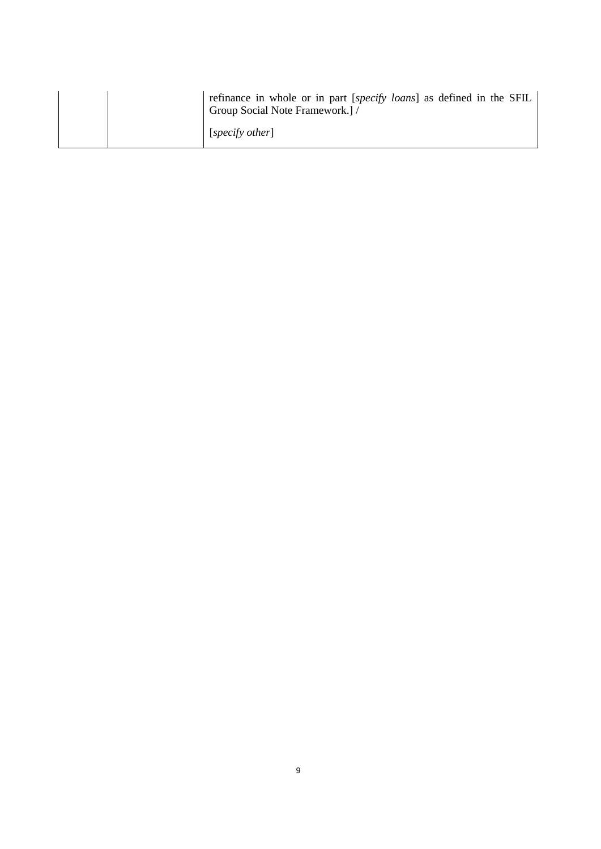|  | refinance in whole or in part [specify loans] as defined in the SFIL<br>Group Social Note Framework.] / |
|--|---------------------------------------------------------------------------------------------------------|
|  | [specify other]                                                                                         |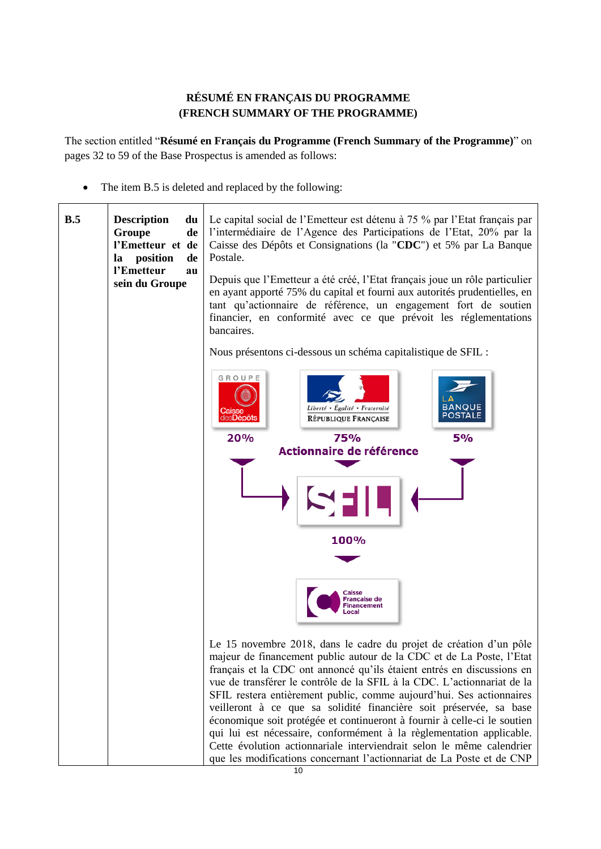# **RÉSUMÉ EN FRANÇAIS DU PROGRAMME (FRENCH SUMMARY OF THE PROGRAMME)**

<span id="page-9-0"></span>The section entitled "**Résumé en Français du Programme (French Summary of the Programme)**" on pages 32 to 59 of the Base Prospectus is amended as follows:

• The item B.5 is deleted and replaced by the following:

| B.5 | <b>Description</b><br>du<br>Groupe<br>de<br>l'Emetteur et de<br>position<br>de<br>la<br>l'Emetteur<br>au<br>sein du Groupe | Le capital social de l'Emetteur est détenu à 75 % par l'Etat français par<br>l'intermédiaire de l'Agence des Participations de l'Etat, 20% par la<br>Caisse des Dépôts et Consignations (la "CDC") et 5% par La Banque<br>Postale.<br>Depuis que l'Emetteur a été créé, l'Etat français joue un rôle particulier<br>en ayant apporté 75% du capital et fourni aux autorités prudentielles, en<br>tant qu'actionnaire de référence, un engagement fort de soutien<br>financier, en conformité avec ce que prévoit les réglementations<br>bancaires. |
|-----|----------------------------------------------------------------------------------------------------------------------------|----------------------------------------------------------------------------------------------------------------------------------------------------------------------------------------------------------------------------------------------------------------------------------------------------------------------------------------------------------------------------------------------------------------------------------------------------------------------------------------------------------------------------------------------------|
|     |                                                                                                                            | Nous présentons ci-dessous un schéma capitalistique de SFIL :                                                                                                                                                                                                                                                                                                                                                                                                                                                                                      |
|     |                                                                                                                            | GROUPE<br><b>BANQUE</b><br>Liberté • Égalité • Fraternité<br>POSTALE<br>des <b>Dépôts</b><br><b>RÉPUBLIQUE FRANÇAISE</b>                                                                                                                                                                                                                                                                                                                                                                                                                           |
|     |                                                                                                                            | 20%<br>5%<br>75%                                                                                                                                                                                                                                                                                                                                                                                                                                                                                                                                   |
|     |                                                                                                                            | Actionnaire de référence                                                                                                                                                                                                                                                                                                                                                                                                                                                                                                                           |
|     |                                                                                                                            |                                                                                                                                                                                                                                                                                                                                                                                                                                                                                                                                                    |
|     |                                                                                                                            | 100%                                                                                                                                                                                                                                                                                                                                                                                                                                                                                                                                               |
|     |                                                                                                                            |                                                                                                                                                                                                                                                                                                                                                                                                                                                                                                                                                    |
|     |                                                                                                                            | Caisse<br><b>Française de</b><br>Financement                                                                                                                                                                                                                                                                                                                                                                                                                                                                                                       |
|     |                                                                                                                            | Le 15 novembre 2018, dans le cadre du projet de création d'un pôle                                                                                                                                                                                                                                                                                                                                                                                                                                                                                 |
|     |                                                                                                                            | majeur de financement public autour de la CDC et de La Poste, l'Etat<br>français et la CDC ont annoncé qu'ils étaient entrés en discussions en                                                                                                                                                                                                                                                                                                                                                                                                     |
|     |                                                                                                                            | vue de transférer le contrôle de la SFIL à la CDC. L'actionnariat de la                                                                                                                                                                                                                                                                                                                                                                                                                                                                            |
|     |                                                                                                                            | SFIL restera entièrement public, comme aujourd'hui. Ses actionnaires<br>veilleront à ce que sa solidité financière soit préservée, sa base                                                                                                                                                                                                                                                                                                                                                                                                         |
|     |                                                                                                                            | économique soit protégée et continueront à fournir à celle-ci le soutien<br>qui lui est nécessaire, conformément à la règlementation applicable.<br>Cette évolution actionnariale interviendrait selon le même calendrier                                                                                                                                                                                                                                                                                                                          |
|     |                                                                                                                            | que les modifications concernant l'actionnariat de La Poste et de CNP                                                                                                                                                                                                                                                                                                                                                                                                                                                                              |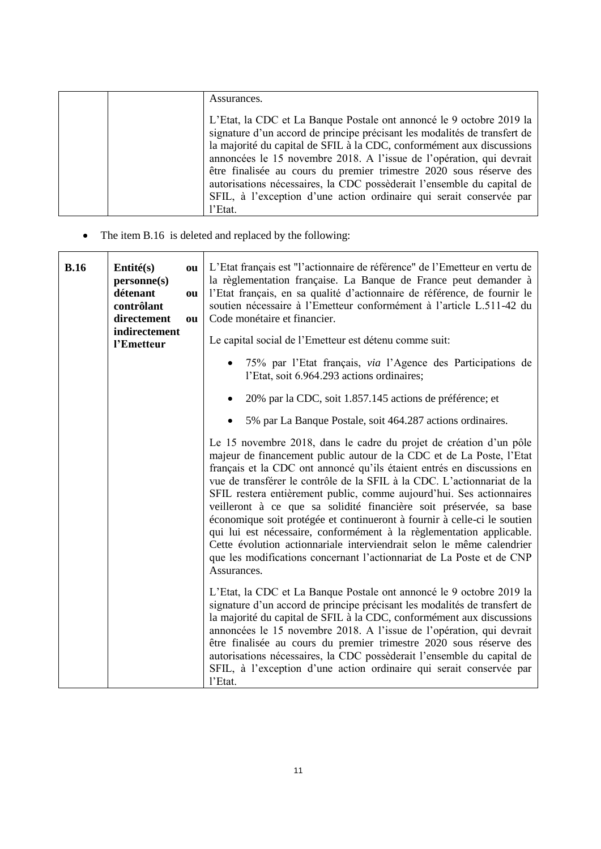|  | Assurances.                                                                                                                                                                                                                                                                                                                                                                                                                                                                                                               |
|--|---------------------------------------------------------------------------------------------------------------------------------------------------------------------------------------------------------------------------------------------------------------------------------------------------------------------------------------------------------------------------------------------------------------------------------------------------------------------------------------------------------------------------|
|  | L'Etat, la CDC et La Banque Postale ont annoncé le 9 octobre 2019 la<br>signature d'un accord de principe précisant les modalités de transfert de<br>la majorité du capital de SFIL à la CDC, conformément aux discussions<br>annoncées le 15 novembre 2018. A l'issue de l'opération, qui devrait<br>être finalisée au cours du premier trimestre 2020 sous réserve des<br>autorisations nécessaires, la CDC possèderait l'ensemble du capital de<br>SFIL, à l'exception d'une action ordinaire qui serait conservée par |
|  | l'Etat.                                                                                                                                                                                                                                                                                                                                                                                                                                                                                                                   |

• The item B.16 is deleted and replaced by the following:

| B.16 | $Entit{\'e}(s)$<br>ou<br>personne(s)<br>détenant<br>ou<br>contrôlant<br>directement<br>ou<br>indirectement | L'Etat français est "l'actionnaire de référence" de l'Emetteur en vertu de<br>la règlementation française. La Banque de France peut demander à<br>l'Etat français, en sa qualité d'actionnaire de référence, de fournir le<br>soutien nécessaire à l'Emetteur conformément à l'article L.511-42 du<br>Code monétaire et financier.                                                                                                                                                                                                                                                                                                                                                                                                                                 |
|------|------------------------------------------------------------------------------------------------------------|--------------------------------------------------------------------------------------------------------------------------------------------------------------------------------------------------------------------------------------------------------------------------------------------------------------------------------------------------------------------------------------------------------------------------------------------------------------------------------------------------------------------------------------------------------------------------------------------------------------------------------------------------------------------------------------------------------------------------------------------------------------------|
|      | l'Emetteur                                                                                                 | Le capital social de l'Emetteur est détenu comme suit:                                                                                                                                                                                                                                                                                                                                                                                                                                                                                                                                                                                                                                                                                                             |
|      |                                                                                                            | 75% par l'Etat français, via l'Agence des Participations de<br>l'Etat, soit 6.964.293 actions ordinaires;                                                                                                                                                                                                                                                                                                                                                                                                                                                                                                                                                                                                                                                          |
|      |                                                                                                            | 20% par la CDC, soit 1.857.145 actions de préférence; et<br>$\bullet$                                                                                                                                                                                                                                                                                                                                                                                                                                                                                                                                                                                                                                                                                              |
|      |                                                                                                            | 5% par La Banque Postale, soit 464.287 actions ordinaires.<br>$\bullet$                                                                                                                                                                                                                                                                                                                                                                                                                                                                                                                                                                                                                                                                                            |
|      |                                                                                                            | Le 15 novembre 2018, dans le cadre du projet de création d'un pôle<br>majeur de financement public autour de la CDC et de La Poste, l'Etat<br>français et la CDC ont annoncé qu'ils étaient entrés en discussions en<br>vue de transférer le contrôle de la SFIL à la CDC. L'actionnariat de la<br>SFIL restera entièrement public, comme aujourd'hui. Ses actionnaires<br>veilleront à ce que sa solidité financière soit préservée, sa base<br>économique soit protégée et continueront à fournir à celle-ci le soutien<br>qui lui est nécessaire, conformément à la règlementation applicable.<br>Cette évolution actionnariale interviendrait selon le même calendrier<br>que les modifications concernant l'actionnariat de La Poste et de CNP<br>Assurances. |
|      |                                                                                                            | L'Etat, la CDC et La Banque Postale ont annoncé le 9 octobre 2019 la<br>signature d'un accord de principe précisant les modalités de transfert de<br>la majorité du capital de SFIL à la CDC, conformément aux discussions<br>annoncées le 15 novembre 2018. A l'issue de l'opération, qui devrait<br>être finalisée au cours du premier trimestre 2020 sous réserve des<br>autorisations nécessaires, la CDC possèderait l'ensemble du capital de<br>SFIL, à l'exception d'une action ordinaire qui serait conservée par<br>l'Etat.                                                                                                                                                                                                                               |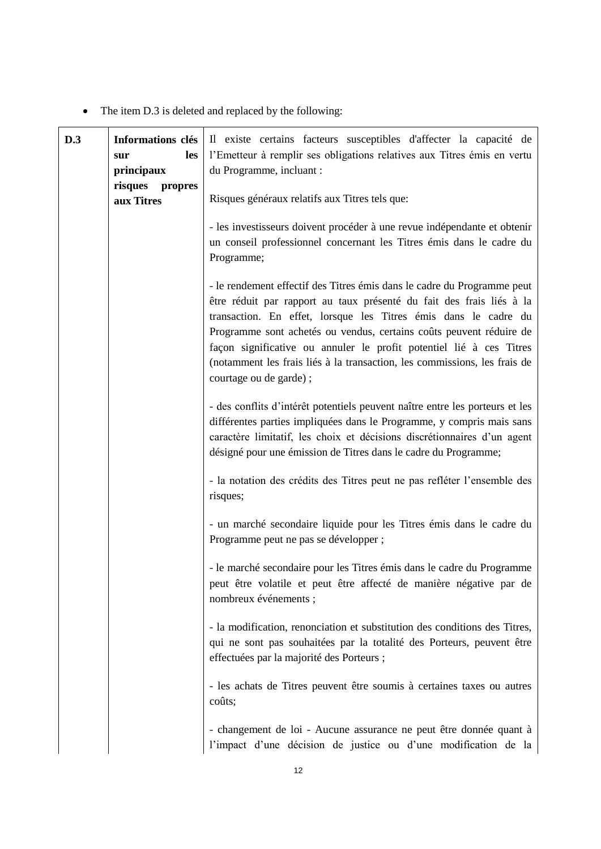• The item D.3 is deleted and replaced by the following:

| D.3 | Informations clés<br>les<br>sur<br>principaux<br>risques<br>propres | Il existe certains facteurs susceptibles d'affecter la capacité de<br>l'Emetteur à remplir ses obligations relatives aux Titres émis en vertu<br>du Programme, incluant :                                                                                                                                                                                                                                                                                               |
|-----|---------------------------------------------------------------------|-------------------------------------------------------------------------------------------------------------------------------------------------------------------------------------------------------------------------------------------------------------------------------------------------------------------------------------------------------------------------------------------------------------------------------------------------------------------------|
|     | aux Titres                                                          | Risques généraux relatifs aux Titres tels que:<br>- les investisseurs doivent procéder à une revue indépendante et obtenir<br>un conseil professionnel concernant les Titres émis dans le cadre du<br>Programme;                                                                                                                                                                                                                                                        |
|     |                                                                     | - le rendement effectif des Titres émis dans le cadre du Programme peut<br>être réduit par rapport au taux présenté du fait des frais liés à la<br>transaction. En effet, lorsque les Titres émis dans le cadre du<br>Programme sont achetés ou vendus, certains coûts peuvent réduire de<br>façon significative ou annuler le profit potentiel lié à ces Titres<br>(notamment les frais liés à la transaction, les commissions, les frais de<br>courtage ou de garde); |
|     |                                                                     | - des conflits d'intérêt potentiels peuvent naître entre les porteurs et les<br>différentes parties impliquées dans le Programme, y compris mais sans<br>caractère limitatif, les choix et décisions discrétionnaires d'un agent<br>désigné pour une émission de Titres dans le cadre du Programme;                                                                                                                                                                     |
|     |                                                                     | - la notation des crédits des Titres peut ne pas refléter l'ensemble des<br>risques;                                                                                                                                                                                                                                                                                                                                                                                    |
|     |                                                                     | - un marché secondaire liquide pour les Titres émis dans le cadre du<br>Programme peut ne pas se développer ;                                                                                                                                                                                                                                                                                                                                                           |
|     |                                                                     | - le marché secondaire pour les Titres émis dans le cadre du Programme<br>peut être volatile et peut être affecté de manière négative par de<br>nombreux événements ;                                                                                                                                                                                                                                                                                                   |
|     |                                                                     | - la modification, renonciation et substitution des conditions des Titres,<br>qui ne sont pas souhaitées par la totalité des Porteurs, peuvent être<br>effectuées par la majorité des Porteurs;                                                                                                                                                                                                                                                                         |
|     |                                                                     | - les achats de Titres peuvent être soumis à certaines taxes ou autres<br>coûts;                                                                                                                                                                                                                                                                                                                                                                                        |
|     |                                                                     | - changement de loi - Aucune assurance ne peut être donnée quant à<br>l'impact d'une décision de justice ou d'une modification de la                                                                                                                                                                                                                                                                                                                                    |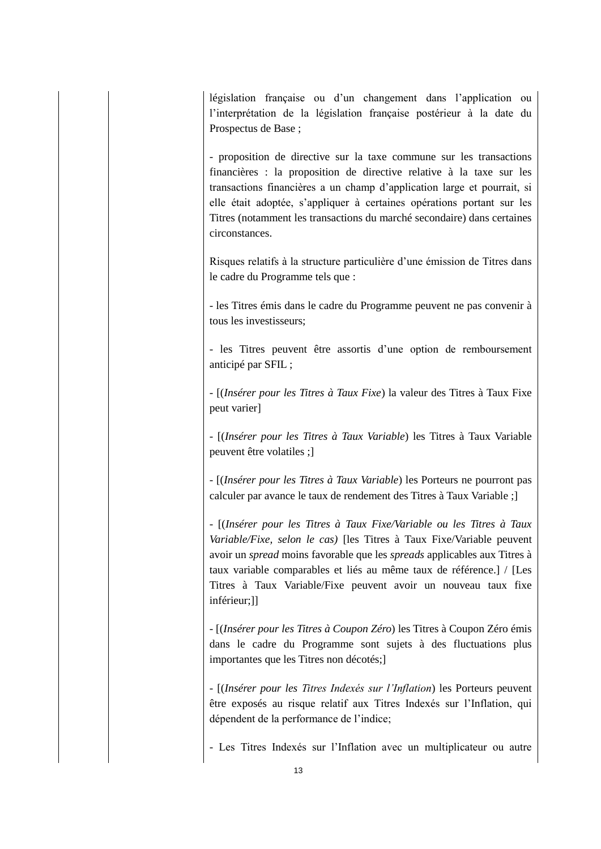législation française ou d'un changement dans l'application ou l'interprétation de la législation française postérieur à la date du Prospectus de Base ;

- proposition de directive sur la taxe commune sur les transactions financières : la proposition de directive relative à la taxe sur les transactions financières a un champ d'application large et pourrait, si elle était adoptée, s'appliquer à certaines opérations portant sur les Titres (notamment les transactions du marché secondaire) dans certaines circonstances.

Risques relatifs à la structure particulière d'une émission de Titres dans le cadre du Programme tels que :

- les Titres émis dans le cadre du Programme peuvent ne pas convenir à tous les investisseurs;

- les Titres peuvent être assortis d'une option de remboursement anticipé par SFIL ;

- [(*Insérer pour les Titres à Taux Fixe*) la valeur des Titres à Taux Fixe peut varier]

- [(*Insérer pour les Titres à Taux Variable*) les Titres à Taux Variable peuvent être volatiles ;]

- [(*Insérer pour les Titres à Taux Variable*) les Porteurs ne pourront pas calculer par avance le taux de rendement des Titres à Taux Variable ;]

- [(*Insérer pour les Titres à Taux Fixe/Variable ou les Titres à Taux Variable/Fixe, selon le cas)* [les Titres à Taux Fixe/Variable peuvent avoir un *spread* moins favorable que les *spreads* applicables aux Titres à taux variable comparables et liés au même taux de référence.] / [Les Titres à Taux Variable/Fixe peuvent avoir un nouveau taux fixe inférieur;]]

- [(*Insérer pour les Titres à Coupon Zéro*) les Titres à Coupon Zéro émis dans le cadre du Programme sont sujets à des fluctuations plus importantes que les Titres non décotés;]

- [(*Insérer pour les Titres Indexés sur l'Inflation*) les Porteurs peuvent être exposés au risque relatif aux Titres Indexés sur l'Inflation, qui dépendent de la performance de l'indice;

- Les Titres Indexés sur l'Inflation avec un multiplicateur ou autre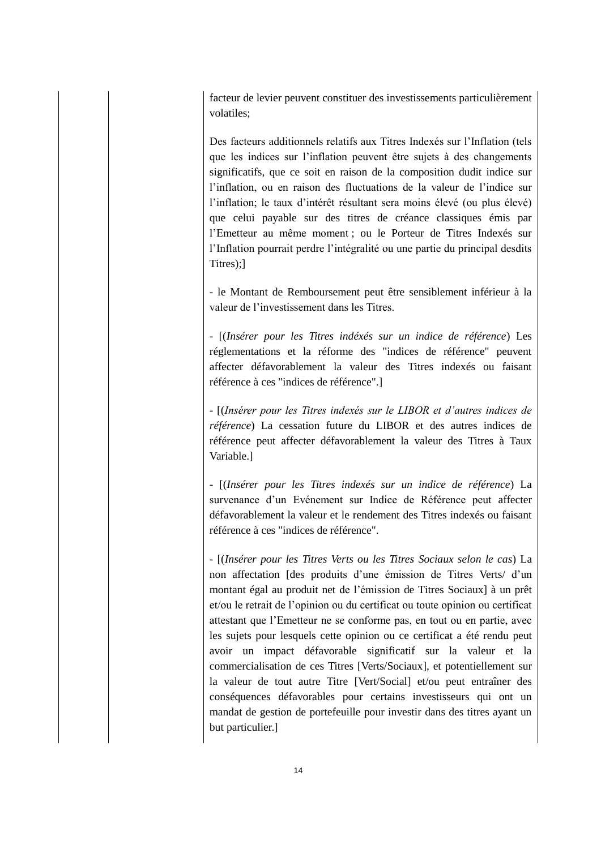facteur de levier peuvent constituer des investissements particulièrement volatiles;

Des facteurs additionnels relatifs aux Titres Indexés sur l'Inflation (tels que les indices sur l'inflation peuvent être sujets à des changements significatifs, que ce soit en raison de la composition dudit indice sur l'inflation, ou en raison des fluctuations de la valeur de l'indice sur l'inflation; le taux d'intérêt résultant sera moins élevé (ou plus élevé) que celui payable sur des titres de créance classiques émis par l'Emetteur au même moment ; ou le Porteur de Titres Indexés sur l'Inflation pourrait perdre l'intégralité ou une partie du principal desdits Titres);]

- le Montant de Remboursement peut être sensiblement inférieur à la valeur de l'investissement dans les Titres.

- [(*Insérer pour les Titres indéxés sur un indice de référence*) Les réglementations et la réforme des "indices de référence" peuvent affecter défavorablement la valeur des Titres indexés ou faisant référence à ces "indices de référence".]

- [(*Insérer pour les Titres indexés sur le LIBOR et d'autres indices de référence*) La cessation future du LIBOR et des autres indices de référence peut affecter défavorablement la valeur des Titres à Taux Variable.]

- [(*Insérer pour les Titres indexés sur un indice de référence*) La survenance d'un Evénement sur Indice de Référence peut affecter défavorablement la valeur et le rendement des Titres indexés ou faisant référence à ces "indices de référence".

- [(*Insérer pour les Titres Verts ou les Titres Sociaux selon le cas*) La non affectation [des produits d'une émission de Titres Verts/ d'un montant égal au produit net de l'émission de Titres Sociaux] à un prêt et/ou le retrait de l'opinion ou du certificat ou toute opinion ou certificat attestant que l'Emetteur ne se conforme pas, en tout ou en partie, avec les sujets pour lesquels cette opinion ou ce certificat a été rendu peut avoir un impact défavorable significatif sur la valeur et la commercialisation de ces Titres [Verts/Sociaux], et potentiellement sur la valeur de tout autre Titre [Vert/Social] et/ou peut entraîner des conséquences défavorables pour certains investisseurs qui ont un mandat de gestion de portefeuille pour investir dans des titres ayant un but particulier.]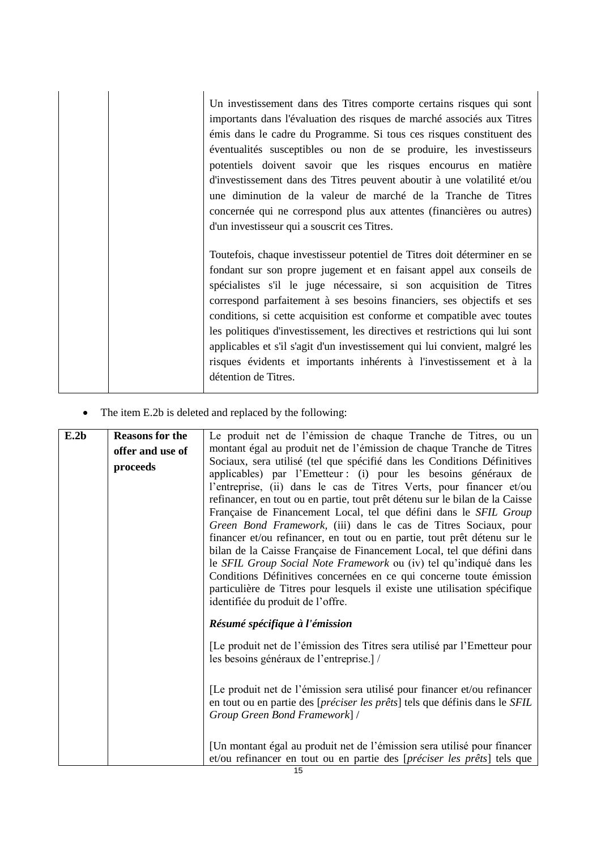| Un investissement dans des Titres comporte certains risques qui sont<br>importants dans l'évaluation des risques de marché associés aux Titres<br>émis dans le cadre du Programme. Si tous ces risques constituent des<br>éventualités susceptibles ou non de se produire, les investisseurs<br>potentiels doivent savoir que les risques encourus en matière<br>d'investissement dans des Titres peuvent aboutir à une volatilité et/ou<br>une diminution de la valeur de marché de la Tranche de Titres<br>concernée qui ne correspond plus aux attentes (financières ou autres)<br>d'un investisseur qui a souscrit ces Titres.       |
|------------------------------------------------------------------------------------------------------------------------------------------------------------------------------------------------------------------------------------------------------------------------------------------------------------------------------------------------------------------------------------------------------------------------------------------------------------------------------------------------------------------------------------------------------------------------------------------------------------------------------------------|
| Toutefois, chaque investisseur potentiel de Titres doit déterminer en se<br>fondant sur son propre jugement et en faisant appel aux conseils de<br>spécialistes s'il le juge nécessaire, si son acquisition de Titres<br>correspond parfaitement à ses besoins financiers, ses objectifs et ses<br>conditions, si cette acquisition est conforme et compatible avec toutes<br>les politiques d'investissement, les directives et restrictions qui lui sont<br>applicables et s'il s'agit d'un investissement qui lui convient, malgré les<br>risques évidents et importants inhérents à l'investissement et à la<br>détention de Titres. |

• The item E.2b is deleted and replaced by the following:

| E.2b | <b>Reasons for the</b> | Le produit net de l'émission de chaque Tranche de Titres, ou un              |
|------|------------------------|------------------------------------------------------------------------------|
|      | offer and use of       | montant égal au produit net de l'émission de chaque Tranche de Titres        |
|      | proceeds               | Sociaux, sera utilisé (tel que spécifié dans les Conditions Définitives      |
|      |                        | applicables) par l'Emetteur : (i) pour les besoins généraux de               |
|      |                        | l'entreprise, (ii) dans le cas de Titres Verts, pour financer et/ou          |
|      |                        | refinancer, en tout ou en partie, tout prêt détenu sur le bilan de la Caisse |
|      |                        | Française de Financement Local, tel que défini dans le SFIL Group            |
|      |                        | Green Bond Framework, (iii) dans le cas de Titres Sociaux, pour              |
|      |                        | financer et/ou refinancer, en tout ou en partie, tout prêt détenu sur le     |
|      |                        | bilan de la Caisse Française de Financement Local, tel que défini dans       |
|      |                        | le SFIL Group Social Note Framework ou (iv) tel qu'indiqué dans les          |
|      |                        | Conditions Définitives concernées en ce qui concerne toute émission          |
|      |                        | particulière de Titres pour lesquels il existe une utilisation spécifique    |
|      |                        | identifiée du produit de l'offre.                                            |
|      |                        | Résumé spécifique à l'émission                                               |
|      |                        | [Le produit net de l'émission des Titres sera utilisé par l'Emetteur pour    |
|      |                        | les besoins généraux de l'entreprise.]/                                      |
|      |                        |                                                                              |
|      |                        | [Le produit net de l'émission sera utilisé pour financer et/ou refinancer    |
|      |                        | en tout ou en partie des [préciser les prêts] tels que définis dans le SFIL  |
|      |                        | Group Green Bond Framework] /                                                |
|      |                        |                                                                              |
|      |                        | [Un montant égal au produit net de l'émission sera utilisé pour financer     |
|      |                        | et/ou refinancer en tout ou en partie des [préciser les prêts] tels que      |
|      |                        | $\overline{A}$                                                               |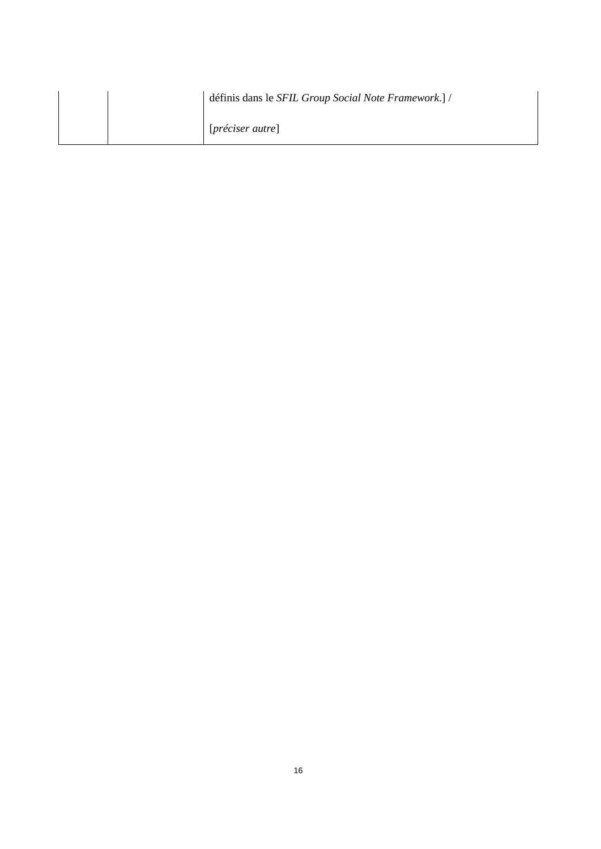|  | définis dans le SFIL Group Social Note Framework.] / |
|--|------------------------------------------------------|
|  | $[pr\acute{e}ciser\,ature]$                          |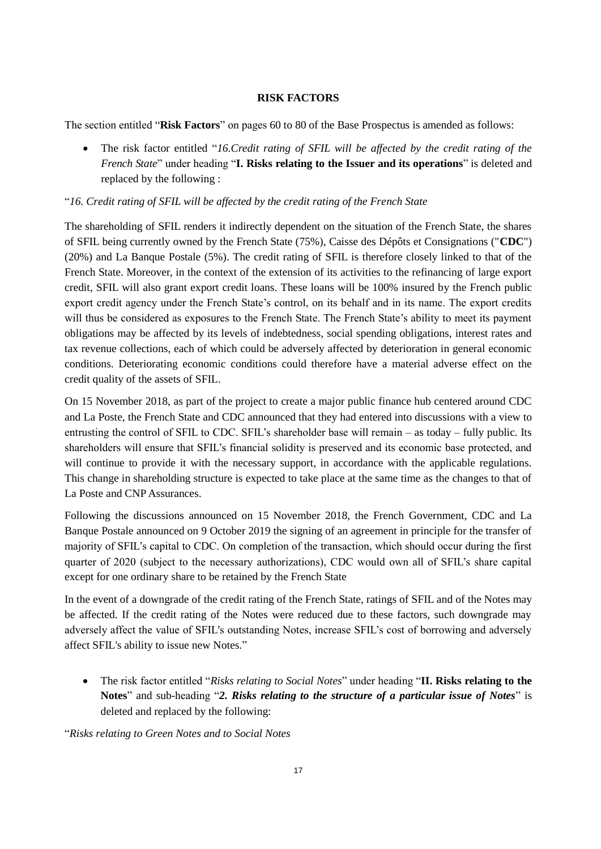### **RISK FACTORS**

<span id="page-16-0"></span>The section entitled "**Risk Factors**" on pages 60 to 80 of the Base Prospectus is amended as follows:

 The risk factor entitled "*16.Credit rating of SFIL will be affected by the credit rating of the French State*" under heading "**I. Risks relating to the Issuer and its operations**" is deleted and replaced by the following :

"*16. Credit rating of SFIL will be affected by the credit rating of the French State*

The shareholding of SFIL renders it indirectly dependent on the situation of the French State, the shares of SFIL being currently owned by the French State (75%), Caisse des Dépôts et Consignations ("**CDC**") (20%) and La Banque Postale (5%). The credit rating of SFIL is therefore closely linked to that of the French State. Moreover, in the context of the extension of its activities to the refinancing of large export credit, SFIL will also grant export credit loans. These loans will be 100% insured by the French public export credit agency under the French State's control, on its behalf and in its name. The export credits will thus be considered as exposures to the French State. The French State's ability to meet its payment obligations may be affected by its levels of indebtedness, social spending obligations, interest rates and tax revenue collections, each of which could be adversely affected by deterioration in general economic conditions. Deteriorating economic conditions could therefore have a material adverse effect on the credit quality of the assets of SFIL.

On 15 November 2018, as part of the project to create a major public finance hub centered around CDC and La Poste, the French State and CDC announced that they had entered into discussions with a view to entrusting the control of SFIL to CDC. SFIL's shareholder base will remain – as today – fully public. Its shareholders will ensure that SFIL's financial solidity is preserved and its economic base protected, and will continue to provide it with the necessary support, in accordance with the applicable regulations. This change in shareholding structure is expected to take place at the same time as the changes to that of La Poste and CNP Assurances.

Following the discussions announced on 15 November 2018, the French Government, CDC and La Banque Postale announced on 9 October 2019 the signing of an agreement in principle for the transfer of majority of SFIL's capital to CDC. On completion of the transaction, which should occur during the first quarter of 2020 (subject to the necessary authorizations), CDC would own all of SFIL's share capital except for one ordinary share to be retained by the French State

In the event of a downgrade of the credit rating of the French State, ratings of SFIL and of the Notes may be affected. If the credit rating of the Notes were reduced due to these factors, such downgrade may adversely affect the value of SFIL's outstanding Notes, increase SFIL's cost of borrowing and adversely affect SFIL's ability to issue new Notes."

 The risk factor entitled "*Risks relating to Social Notes*" under heading "**II. Risks relating to the Notes**" and sub-heading "*2. Risks relating to the structure of a particular issue of Notes*" is deleted and replaced by the following:

"*Risks relating to Green Notes and to Social Notes*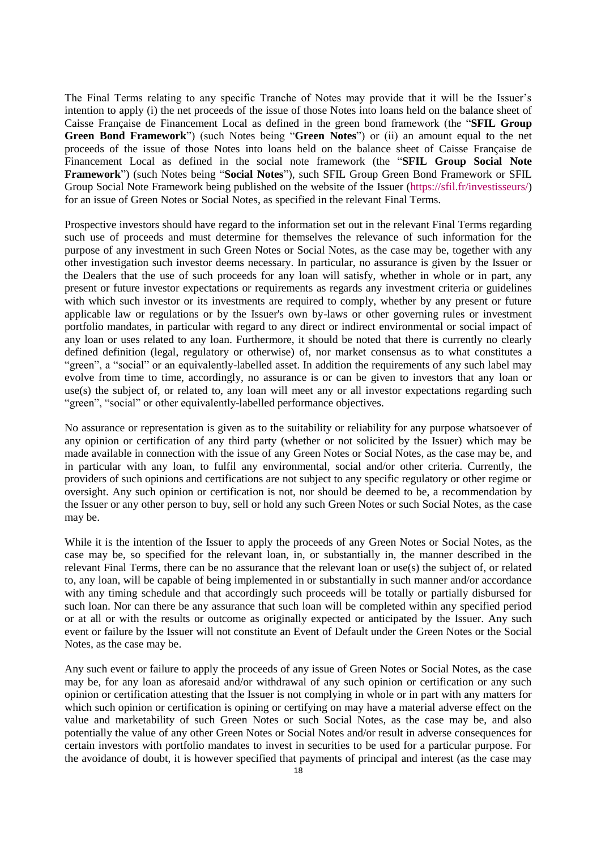The Final Terms relating to any specific Tranche of Notes may provide that it will be the Issuer's intention to apply (i) the net proceeds of the issue of those Notes into loans held on the balance sheet of Caisse Française de Financement Local as defined in the green bond framework (the "**SFIL Group Green Bond Framework**") (such Notes being "**Green Notes**") or (ii) an amount equal to the net proceeds of the issue of those Notes into loans held on the balance sheet of Caisse Française de Financement Local as defined in the social note framework (the "**SFIL Group Social Note Framework**") (such Notes being "**Social Notes**"), such SFIL Group Green Bond Framework or SFIL Group Social Note Framework being published on the website of the Issuer [\(https://sfil.fr/investisseurs/\)](https://sfil.fr/investisseurs/) for an issue of Green Notes or Social Notes, as specified in the relevant Final Terms.

Prospective investors should have regard to the information set out in the relevant Final Terms regarding such use of proceeds and must determine for themselves the relevance of such information for the purpose of any investment in such Green Notes or Social Notes, as the case may be, together with any other investigation such investor deems necessary. In particular, no assurance is given by the Issuer or the Dealers that the use of such proceeds for any loan will satisfy, whether in whole or in part, any present or future investor expectations or requirements as regards any investment criteria or guidelines with which such investor or its investments are required to comply, whether by any present or future applicable law or regulations or by the Issuer's own by-laws or other governing rules or investment portfolio mandates, in particular with regard to any direct or indirect environmental or social impact of any loan or uses related to any loan. Furthermore, it should be noted that there is currently no clearly defined definition (legal, regulatory or otherwise) of, nor market consensus as to what constitutes a "green", a "social" or an equivalently-labelled asset. In addition the requirements of any such label may evolve from time to time, accordingly, no assurance is or can be given to investors that any loan or use(s) the subject of, or related to, any loan will meet any or all investor expectations regarding such "green", "social" or other equivalently-labelled performance objectives.

No assurance or representation is given as to the suitability or reliability for any purpose whatsoever of any opinion or certification of any third party (whether or not solicited by the Issuer) which may be made available in connection with the issue of any Green Notes or Social Notes, as the case may be, and in particular with any loan, to fulfil any environmental, social and/or other criteria. Currently, the providers of such opinions and certifications are not subject to any specific regulatory or other regime or oversight. Any such opinion or certification is not, nor should be deemed to be, a recommendation by the Issuer or any other person to buy, sell or hold any such Green Notes or such Social Notes, as the case may be.

While it is the intention of the Issuer to apply the proceeds of any Green Notes or Social Notes, as the case may be, so specified for the relevant loan, in, or substantially in, the manner described in the relevant Final Terms, there can be no assurance that the relevant loan or use(s) the subject of, or related to, any loan, will be capable of being implemented in or substantially in such manner and/or accordance with any timing schedule and that accordingly such proceeds will be totally or partially disbursed for such loan. Nor can there be any assurance that such loan will be completed within any specified period or at all or with the results or outcome as originally expected or anticipated by the Issuer. Any such event or failure by the Issuer will not constitute an Event of Default under the Green Notes or the Social Notes, as the case may be.

Any such event or failure to apply the proceeds of any issue of Green Notes or Social Notes, as the case may be, for any loan as aforesaid and/or withdrawal of any such opinion or certification or any such opinion or certification attesting that the Issuer is not complying in whole or in part with any matters for which such opinion or certification is opining or certifying on may have a material adverse effect on the value and marketability of such Green Notes or such Social Notes, as the case may be, and also potentially the value of any other Green Notes or Social Notes and/or result in adverse consequences for certain investors with portfolio mandates to invest in securities to be used for a particular purpose. For the avoidance of doubt, it is however specified that payments of principal and interest (as the case may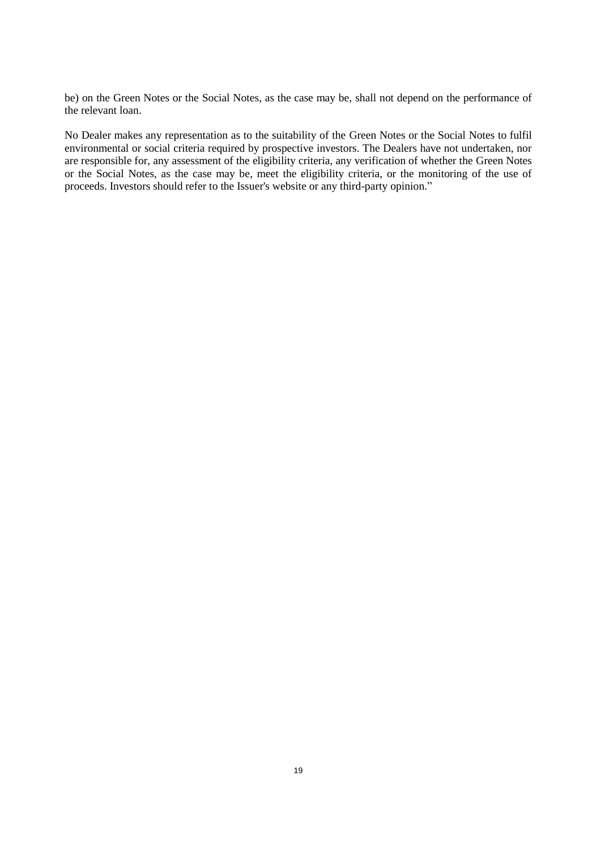be) on the Green Notes or the Social Notes, as the case may be, shall not depend on the performance of the relevant loan.

No Dealer makes any representation as to the suitability of the Green Notes or the Social Notes to fulfil environmental or social criteria required by prospective investors. The Dealers have not undertaken, nor are responsible for, any assessment of the eligibility criteria, any verification of whether the Green Notes or the Social Notes, as the case may be, meet the eligibility criteria, or the monitoring of the use of proceeds. Investors should refer to the Issuer's website or any third-party opinion."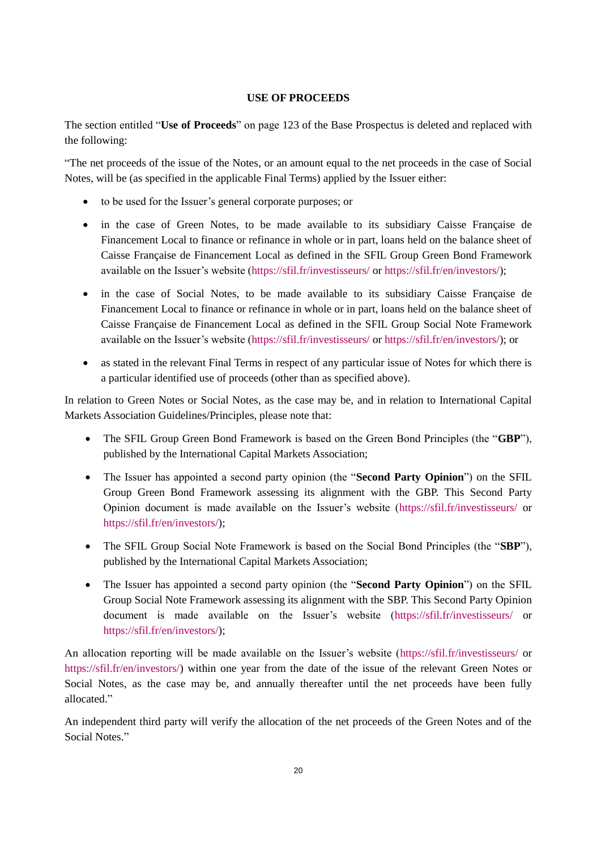### **USE OF PROCEEDS**

<span id="page-19-0"></span>The section entitled "**Use of Proceeds**" on page 123 of the Base Prospectus is deleted and replaced with the following:

"The net proceeds of the issue of the Notes, or an amount equal to the net proceeds in the case of Social Notes, will be (as specified in the applicable Final Terms) applied by the Issuer either:

- to be used for the Issuer's general corporate purposes; or
- in the case of Green Notes, to be made available to its subsidiary Caisse Française de Financement Local to finance or refinance in whole or in part, loans held on the balance sheet of Caisse Française de Financement Local as defined in the SFIL Group Green Bond Framework available on the Issuer's website [\(https://sfil.fr/investisseurs/](https://sfil.fr/investisseurs/) or [https://sfil.fr/en/investors/\)](https://sfil.fr/en/investors/);
- in the case of Social Notes, to be made available to its subsidiary Caisse Française de Financement Local to finance or refinance in whole or in part, loans held on the balance sheet of Caisse Française de Financement Local as defined in the SFIL Group Social Note Framework available on the Issuer's website [\(https://sfil.fr/investisseurs/](https://sfil.fr/investisseurs/) or [https://sfil.fr/en/investors/\)](https://sfil.fr/en/investors/); or
- as stated in the relevant Final Terms in respect of any particular issue of Notes for which there is a particular identified use of proceeds (other than as specified above).

In relation to Green Notes or Social Notes, as the case may be, and in relation to International Capital Markets Association Guidelines/Principles, please note that:

- The SFIL Group Green Bond Framework is based on the Green Bond Principles (the "**GBP**"), published by the International Capital Markets Association;
- The Issuer has appointed a second party opinion (the "**Second Party Opinion**") on the SFIL Group Green Bond Framework assessing its alignment with the GBP. This Second Party Opinion document is made available on the Issuer's website [\(https://sfil.fr/investisseurs/](https://sfil.fr/investisseurs/) or [https://sfil.fr/en/investors/\)](https://sfil.fr/en/investors/);
- The SFIL Group Social Note Framework is based on the Social Bond Principles (the "**SBP**"), published by the International Capital Markets Association;
- The Issuer has appointed a second party opinion (the "**Second Party Opinion**") on the SFIL Group Social Note Framework assessing its alignment with the SBP. This Second Party Opinion document is made available on the Issuer's website [\(https://sfil.fr/investisseurs/](https://sfil.fr/investisseurs/) or [https://sfil.fr/en/investors/\)](https://sfil.fr/en/investors/);

An allocation reporting will be made available on the Issuer's website [\(https://sfil.fr/investisseurs/](https://sfil.fr/investisseurs/) or [https://sfil.fr/en/investors/\)](https://sfil.fr/en/investors/) within one year from the date of the issue of the relevant Green Notes or Social Notes, as the case may be, and annually thereafter until the net proceeds have been fully allocated."

An independent third party will verify the allocation of the net proceeds of the Green Notes and of the Social Notes."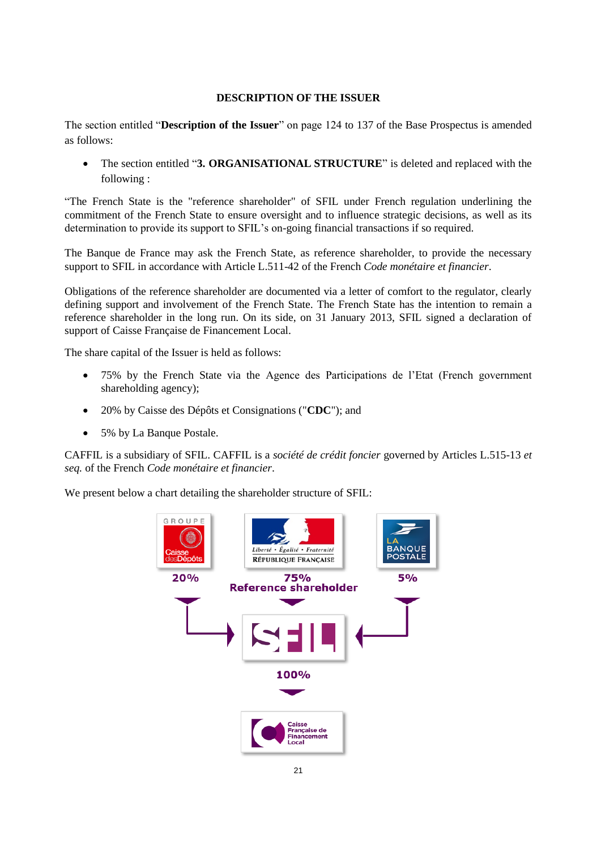### **DESCRIPTION OF THE ISSUER**

<span id="page-20-0"></span>The section entitled "**Description of the Issuer**" on page 124 to 137 of the Base Prospectus is amended as follows:

 The section entitled "**3. ORGANISATIONAL STRUCTURE**" is deleted and replaced with the following :

"The French State is the "reference shareholder" of SFIL under French regulation underlining the commitment of the French State to ensure oversight and to influence strategic decisions, as well as its determination to provide its support to SFIL's on-going financial transactions if so required.

The Banque de France may ask the French State, as reference shareholder, to provide the necessary support to SFIL in accordance with Article L.511-42 of the French *Code monétaire et financier*.

Obligations of the reference shareholder are documented via a letter of comfort to the regulator, clearly defining support and involvement of the French State. The French State has the intention to remain a reference shareholder in the long run. On its side, on 31 January 2013, SFIL signed a declaration of support of Caisse Française de Financement Local.

The share capital of the Issuer is held as follows:

- 75% by the French State via the Agence des Participations de l'Etat (French government shareholding agency);
- 20% by Caisse des Dépôts et Consignations ("**CDC**"); and
- 5% by La Banque Postale.

CAFFIL is a subsidiary of SFIL. CAFFIL is a *société de crédit foncier* governed by Articles L.515-13 *et seq.* of the French *Code monétaire et financier*.

We present below a chart detailing the shareholder structure of SFIL:

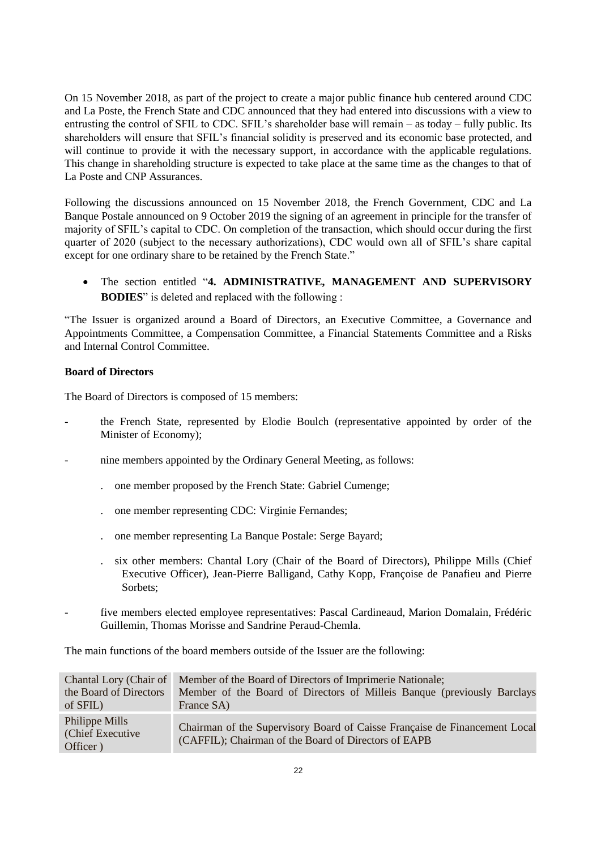On 15 November 2018, as part of the project to create a major public finance hub centered around CDC and La Poste, the French State and CDC announced that they had entered into discussions with a view to entrusting the control of SFIL to CDC. SFIL's shareholder base will remain – as today – fully public. Its shareholders will ensure that SFIL's financial solidity is preserved and its economic base protected, and will continue to provide it with the necessary support, in accordance with the applicable regulations. This change in shareholding structure is expected to take place at the same time as the changes to that of La Poste and CNP Assurances.

Following the discussions announced on 15 November 2018, the French Government, CDC and La Banque Postale announced on 9 October 2019 the signing of an agreement in principle for the transfer of majority of SFIL's capital to CDC. On completion of the transaction, which should occur during the first quarter of 2020 (subject to the necessary authorizations), CDC would own all of SFIL's share capital except for one ordinary share to be retained by the French State."

 The section entitled "**4. ADMINISTRATIVE, MANAGEMENT AND SUPERVISORY BODIES**" is deleted and replaced with the following :

"The Issuer is organized around a Board of Directors, an Executive Committee, a Governance and Appointments Committee, a Compensation Committee, a Financial Statements Committee and a Risks and Internal Control Committee.

### **Board of Directors**

The Board of Directors is composed of 15 members:

- the French State, represented by Elodie Boulch (representative appointed by order of the Minister of Economy);
- nine members appointed by the Ordinary General Meeting, as follows:
	- . one member proposed by the French State: Gabriel Cumenge;
	- . one member representing CDC: Virginie Fernandes;
	- . one member representing La Banque Postale: Serge Bayard;
	- six other members: Chantal Lory (Chair of the Board of Directors), Philippe Mills (Chief Executive Officer), Jean-Pierre Balligand, Cathy Kopp, Françoise de Panafieu and Pierre Sorbets;
- five members elected employee representatives: Pascal Cardineaud, Marion Domalain, Frédéric Guillemin, Thomas Morisse and Sandrine Peraud-Chemla.

The main functions of the board members outside of the Issuer are the following:

| Chantal Lory (Chair of                          | Member of the Board of Directors of Imprimerie Nationale;                                                                          |
|-------------------------------------------------|------------------------------------------------------------------------------------------------------------------------------------|
| the Board of Directors                          | Member of the Board of Directors of Milleis Banque (previously Barclays                                                            |
| of SFIL)                                        | France SA)                                                                                                                         |
| Philippe Mills<br>(Chief Executive)<br>Officer) | Chairman of the Supervisory Board of Caisse Française de Financement Local<br>(CAFFIL); Chairman of the Board of Directors of EAPB |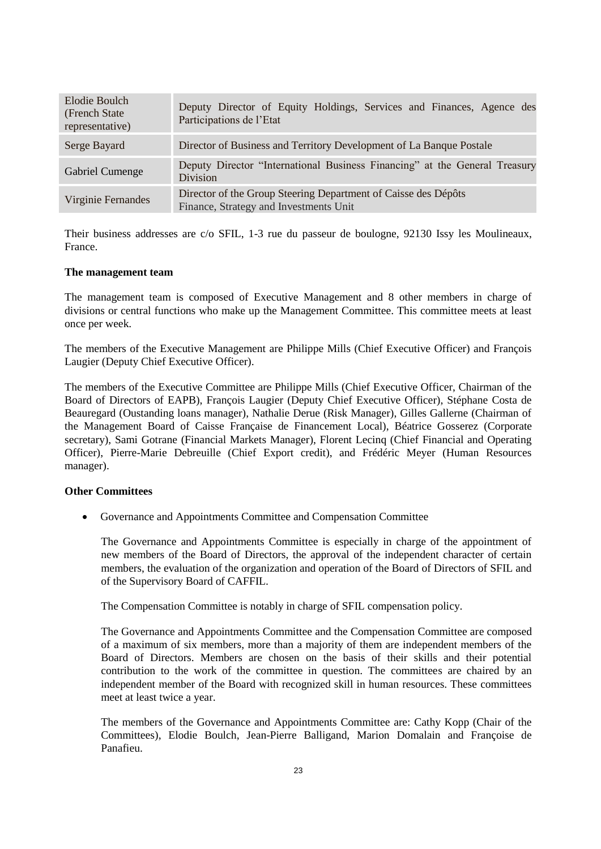| Elodie Boulch<br>(French State)<br>representative) | Deputy Director of Equity Holdings, Services and Finances, Agence des<br>Participations de l'Etat        |
|----------------------------------------------------|----------------------------------------------------------------------------------------------------------|
| Serge Bayard                                       | Director of Business and Territory Development of La Banque Postale                                      |
| <b>Gabriel Cumenge</b>                             | Deputy Director "International Business Financing" at the General Treasury<br><b>Division</b>            |
| Virginie Fernandes                                 | Director of the Group Steering Department of Caisse des Dépôts<br>Finance, Strategy and Investments Unit |

Their business addresses are c/o SFIL, 1-3 rue du passeur de boulogne, 92130 Issy les Moulineaux, France.

#### **The management team**

The management team is composed of Executive Management and 8 other members in charge of divisions or central functions who make up the Management Committee. This committee meets at least once per week.

The members of the Executive Management are Philippe Mills (Chief Executive Officer) and François Laugier (Deputy Chief Executive Officer).

The members of the Executive Committee are Philippe Mills (Chief Executive Officer, Chairman of the Board of Directors of EAPB), François Laugier (Deputy Chief Executive Officer), Stéphane Costa de Beauregard (Oustanding loans manager), Nathalie Derue (Risk Manager), Gilles Gallerne (Chairman of the Management Board of Caisse Française de Financement Local), Béatrice Gosserez (Corporate secretary), Sami Gotrane (Financial Markets Manager), Florent Lecinq (Chief Financial and Operating Officer), Pierre-Marie Debreuille (Chief Export credit), and Frédéric Meyer (Human Resources manager).

#### **Other Committees**

Governance and Appointments Committee and Compensation Committee

The Governance and Appointments Committee is especially in charge of the appointment of new members of the Board of Directors, the approval of the independent character of certain members, the evaluation of the organization and operation of the Board of Directors of SFIL and of the Supervisory Board of CAFFIL.

The Compensation Committee is notably in charge of SFIL compensation policy.

The Governance and Appointments Committee and the Compensation Committee are composed of a maximum of six members, more than a majority of them are independent members of the Board of Directors. Members are chosen on the basis of their skills and their potential contribution to the work of the committee in question. The committees are chaired by an independent member of the Board with recognized skill in human resources. These committees meet at least twice a year.

The members of the Governance and Appointments Committee are: Cathy Kopp (Chair of the Committees), Elodie Boulch, Jean-Pierre Balligand, Marion Domalain and Françoise de Panafieu.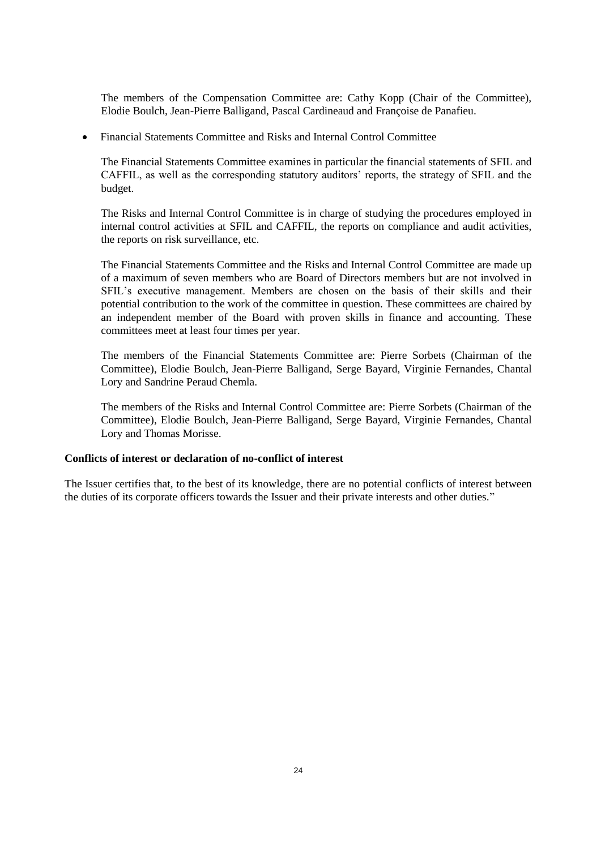The members of the Compensation Committee are: Cathy Kopp (Chair of the Committee), Elodie Boulch, Jean-Pierre Balligand, Pascal Cardineaud and Françoise de Panafieu.

Financial Statements Committee and Risks and Internal Control Committee

The Financial Statements Committee examines in particular the financial statements of SFIL and CAFFIL, as well as the corresponding statutory auditors' reports, the strategy of SFIL and the budget.

The Risks and Internal Control Committee is in charge of studying the procedures employed in internal control activities at SFIL and CAFFIL, the reports on compliance and audit activities, the reports on risk surveillance, etc.

The Financial Statements Committee and the Risks and Internal Control Committee are made up of a maximum of seven members who are Board of Directors members but are not involved in SFIL's executive management. Members are chosen on the basis of their skills and their potential contribution to the work of the committee in question. These committees are chaired by an independent member of the Board with proven skills in finance and accounting. These committees meet at least four times per year.

The members of the Financial Statements Committee are: Pierre Sorbets (Chairman of the Committee), Elodie Boulch, Jean-Pierre Balligand, Serge Bayard, Virginie Fernandes, Chantal Lory and Sandrine Peraud Chemla.

The members of the Risks and Internal Control Committee are: Pierre Sorbets (Chairman of the Committee), Elodie Boulch, Jean-Pierre Balligand, Serge Bayard, Virginie Fernandes, Chantal Lory and Thomas Morisse.

#### **Conflicts of interest or declaration of no-conflict of interest**

The Issuer certifies that, to the best of its knowledge, there are no potential conflicts of interest between the duties of its corporate officers towards the Issuer and their private interests and other duties."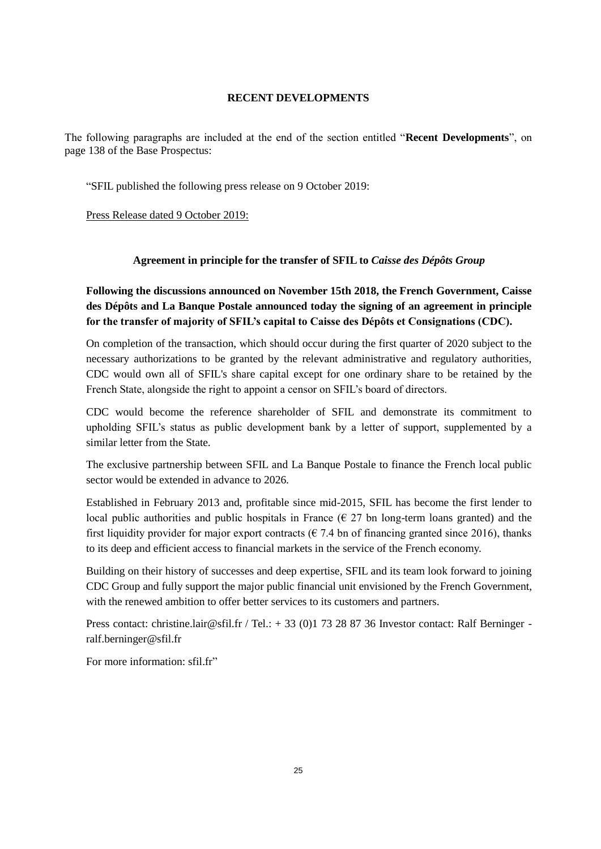#### **RECENT DEVELOPMENTS**

<span id="page-24-0"></span>The following paragraphs are included at the end of the section entitled "**Recent Developments**", on page 138 of the Base Prospectus:

"SFIL published the following press release on 9 October 2019:

Press Release dated 9 October 2019:

### **Agreement in principle for the transfer of SFIL to** *Caisse des Dépôts Group*

**Following the discussions announced on November 15th 2018, the French Government, Caisse des Dépôts and La Banque Postale announced today the signing of an agreement in principle for the transfer of majority of SFIL's capital to Caisse des Dépôts et Consignations (CDC).**

On completion of the transaction, which should occur during the first quarter of 2020 subject to the necessary authorizations to be granted by the relevant administrative and regulatory authorities, CDC would own all of SFIL's share capital except for one ordinary share to be retained by the French State, alongside the right to appoint a censor on SFIL's board of directors.

CDC would become the reference shareholder of SFIL and demonstrate its commitment to upholding SFIL's status as public development bank by a letter of support, supplemented by a similar letter from the State.

The exclusive partnership between SFIL and La Banque Postale to finance the French local public sector would be extended in advance to 2026.

Established in February 2013 and, profitable since mid-2015, SFIL has become the first lender to local public authorities and public hospitals in France ( $\epsilon$  27 bn long-term loans granted) and the first liquidity provider for major export contracts ( $\epsilon$  7.4 bn of financing granted since 2016), thanks to its deep and efficient access to financial markets in the service of the French economy.

Building on their history of successes and deep expertise, SFIL and its team look forward to joining CDC Group and fully support the major public financial unit envisioned by the French Government, with the renewed ambition to offer better services to its customers and partners.

Press contact: christine.lair@sfil.fr / Tel.: + 33 (0)1 73 28 87 36 Investor contact: Ralf Berninger ralf.berninger@sfil.fr

For more information: sfil.fr"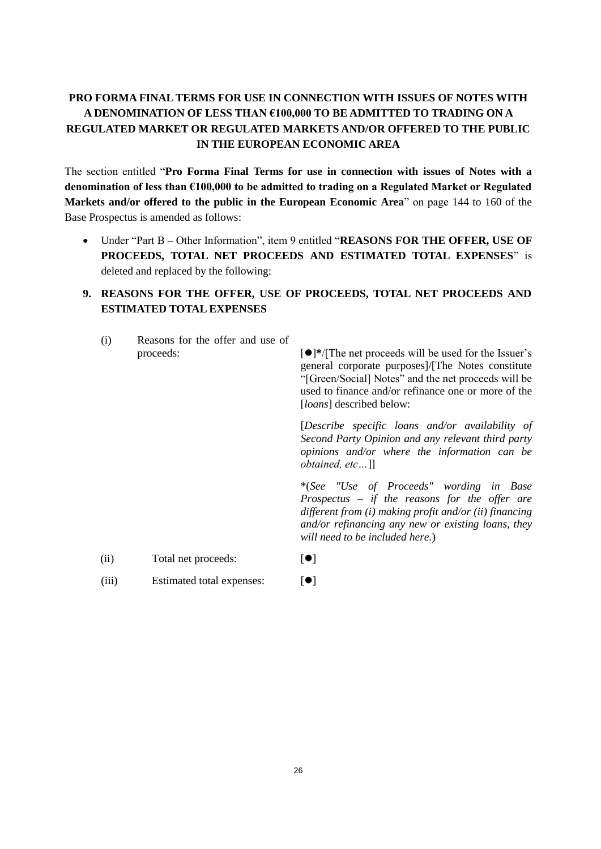# <span id="page-25-0"></span>**PRO FORMA FINAL TERMS FOR USE IN CONNECTION WITH ISSUES OF NOTES WITH A DENOMINATION OF LESS THAN €100,000 TO BE ADMITTED TO TRADING ON A REGULATED MARKET OR REGULATED MARKETS AND/OR OFFERED TO THE PUBLIC IN THE EUROPEAN ECONOMIC AREA**

The section entitled "**Pro Forma Final Terms for use in connection with issues of Notes with a denomination of less than €100,000 to be admitted to trading on a Regulated Market or Regulated Markets and/or offered to the public in the European Economic Area**" on page 144 to 160 of the Base Prospectus is amended as follows:

 Under "Part B – Other Information", item 9 entitled "**REASONS FOR THE OFFER, USE OF PROCEEDS, TOTAL NET PROCEEDS AND ESTIMATED TOTAL EXPENSES**" is deleted and replaced by the following:

# **9. REASONS FOR THE OFFER, USE OF PROCEEDS, TOTAL NET PROCEEDS AND ESTIMATED TOTAL EXPENSES**

| (i)   | Reasons for the offer and use of<br>proceeds: | $\lceil \bullet \rceil^*$ /[The net proceeds will be used for the Issuer's<br>general corporate purposes]/[The Notes constitute<br>"[Green/Social] Notes" and the net proceeds will be<br>used to finance and/or refinance one or more of the<br>[ <i>loans</i> ] described below: |
|-------|-----------------------------------------------|------------------------------------------------------------------------------------------------------------------------------------------------------------------------------------------------------------------------------------------------------------------------------------|
|       |                                               | [Describe specific loans and/or availability of<br>Second Party Opinion and any relevant third party<br><i>opinions and/or where the information can be</i><br><i>obtained, etc</i> ]                                                                                              |
|       |                                               | *(See "Use of Proceeds" wording in Base<br>Prospectus $-$ if the reasons for the offer are<br>different from $(i)$ making profit and/or $(ii)$ financing<br>and/or refinancing any new or existing loans, they<br>will need to be included here.)                                  |
| (ii)  | Total net proceeds:                           | $\lbrack \bullet \rbrack$                                                                                                                                                                                                                                                          |
| (iii) | Estimated total expenses:                     | $\left[ \bullet \right]$                                                                                                                                                                                                                                                           |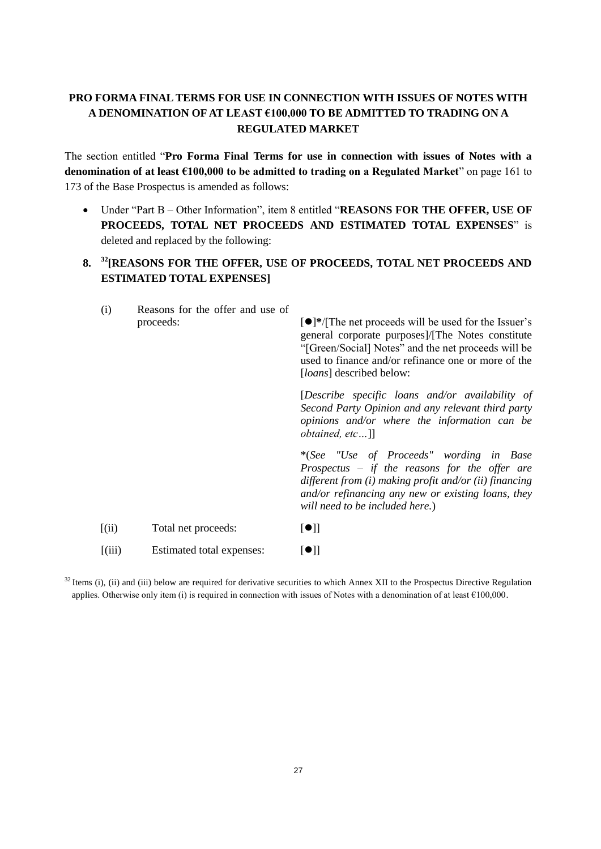# <span id="page-26-0"></span>**PRO FORMA FINAL TERMS FOR USE IN CONNECTION WITH ISSUES OF NOTES WITH A DENOMINATION OF AT LEAST €100,000 TO BE ADMITTED TO TRADING ON A REGULATED MARKET**

The section entitled "**Pro Forma Final Terms for use in connection with issues of Notes with a denomination of at least €100,000 to be admitted to trading on a Regulated Market**" on page 161 to 173 of the Base Prospectus is amended as follows:

 Under "Part B – Other Information", item 8 entitled "**REASONS FOR THE OFFER, USE OF PROCEEDS, TOTAL NET PROCEEDS AND ESTIMATED TOTAL EXPENSES**" is deleted and replaced by the following:

## **8. <sup>32</sup>[REASONS FOR THE OFFER, USE OF PROCEEDS, TOTAL NET PROCEEDS AND ESTIMATED TOTAL EXPENSES]**

| (i)   | Reasons for the offer and use of<br>proceeds: | $\lceil \bullet \rceil^*$ /[The net proceeds will be used for the Issuer's<br>general corporate purposes]/[The Notes constitute<br>"[Green/Social] Notes" and the net proceeds will be<br>used to finance and/or refinance one or more of the<br>[ <i>loans</i> ] described below: |
|-------|-----------------------------------------------|------------------------------------------------------------------------------------------------------------------------------------------------------------------------------------------------------------------------------------------------------------------------------------|
|       |                                               | [Describe specific loans and/or availability of<br>Second Party Opinion and any relevant third party<br><i>opinions and/or where the information can be</i><br><i>obtained, etc]</i>                                                                                               |
|       |                                               | *(See "Use of Proceeds" wording in Base<br>Prospectus $-$ if the reasons for the offer are<br>different from $(i)$ making profit and/or $(ii)$ financing<br>and/or refinancing any new or existing loans, they<br>will need to be included here.)                                  |
| (iii) | Total net proceeds:                           | $\lbrack \bullet \rbrack \rbrack$                                                                                                                                                                                                                                                  |
| (iii) | Estimated total expenses:                     | $[\bullet]]$                                                                                                                                                                                                                                                                       |

 $32$  Items (i), (ii) and (iii) below are required for derivative securities to which Annex XII to the Prospectus Directive Regulation applies. Otherwise only item (i) is required in connection with issues of Notes with a denomination of at least  $\epsilon$ 100,000.